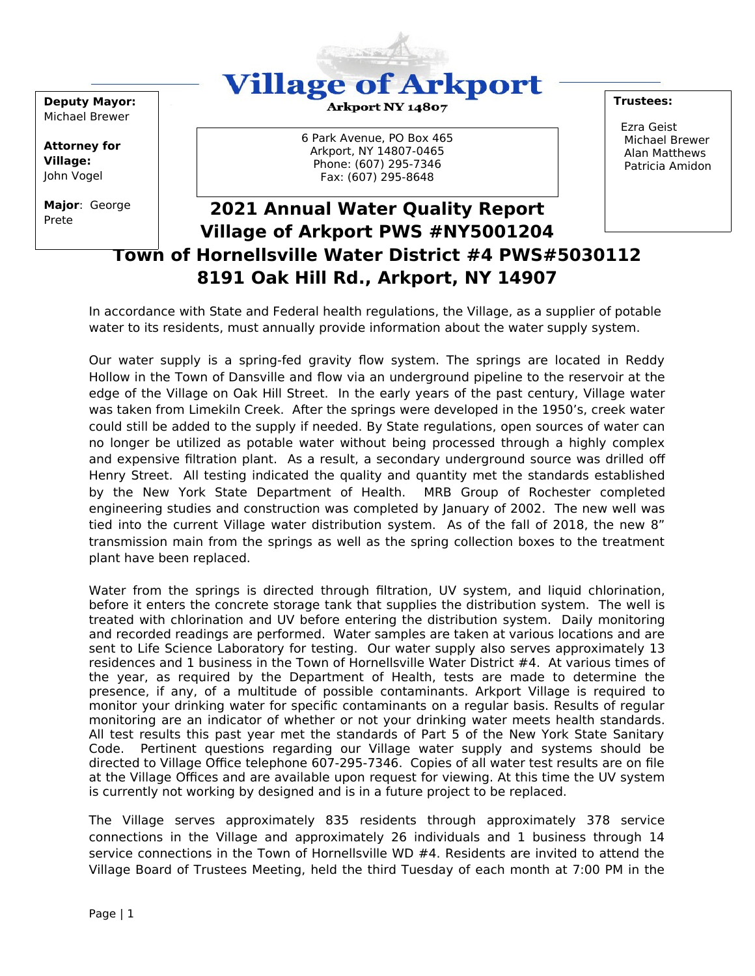

**Deputy Mayor:** Michael Brewer

**Attorney for Village:** John Vogel

**Major**: George Prete

#### Arkport NY 14807

**2015 Annual Water Quality Report** Fax: (607) 295-8648 6 Park Avenue, PO Box 465 Arkport, NY 14807-0465 Phone: (607) 295-7346

#### **Trustees:**

 Ezra Geist Michael Brewer Alan Matthews Patricia Amidon

# **2021 Annual Water Quality Report Village of Arkport PWS #NY5001204 Town of Hornellsville Water District #4 PWS#5030112 8191 Oak Hill Rd., Arkport, NY 14907**

In accordance with State and Federal health regulations, the Village, as a supplier of potable water to its residents, must annually provide information about the water supply system.

Our water supply is a spring-fed gravity flow system. The springs are located in Reddy Hollow in the Town of Dansville and flow via an underground pipeline to the reservoir at the edge of the Village on Oak Hill Street. In the early years of the past century, Village water was taken from Limekiln Creek. After the springs were developed in the 1950's, creek water could still be added to the supply if needed. By State regulations, open sources of water can no longer be utilized as potable water without being processed through a highly complex and expensive filtration plant. As a result, a secondary underground source was drilled off Henry Street. All testing indicated the quality and quantity met the standards established by the New York State Department of Health. MRB Group of Rochester completed engineering studies and construction was completed by January of 2002. The new well was tied into the current Village water distribution system. As of the fall of 2018, the new 8" transmission main from the springs as well as the spring collection boxes to the treatment plant have been replaced.

Water from the springs is directed through filtration, UV system, and liquid chlorination, before it enters the concrete storage tank that supplies the distribution system. The well is treated with chlorination and UV before entering the distribution system. Daily monitoring and recorded readings are performed. Water samples are taken at various locations and are sent to Life Science Laboratory for testing. Our water supply also serves approximately 13 residences and 1 business in the Town of Hornellsville Water District #4. At various times of the year, as required by the Department of Health, tests are made to determine the presence, if any, of a multitude of possible contaminants. Arkport Village is required to monitor your drinking water for specific contaminants on a regular basis. Results of regular monitoring are an indicator of whether or not your drinking water meets health standards. All test results this past year met the standards of Part 5 of the New York State Sanitary Code. Pertinent questions regarding our Village water supply and systems should be directed to Village Office telephone 607-295-7346. Copies of all water test results are on file at the Village Offices and are available upon request for viewing. At this time the UV system is currently not working by designed and is in a future project to be replaced.

The Village serves approximately 835 residents through approximately 378 service connections in the Village and approximately 26 individuals and 1 business through 14 service connections in the Town of Hornellsville WD #4. Residents are invited to attend the Village Board of Trustees Meeting, held the third Tuesday of each month at 7:00 PM in the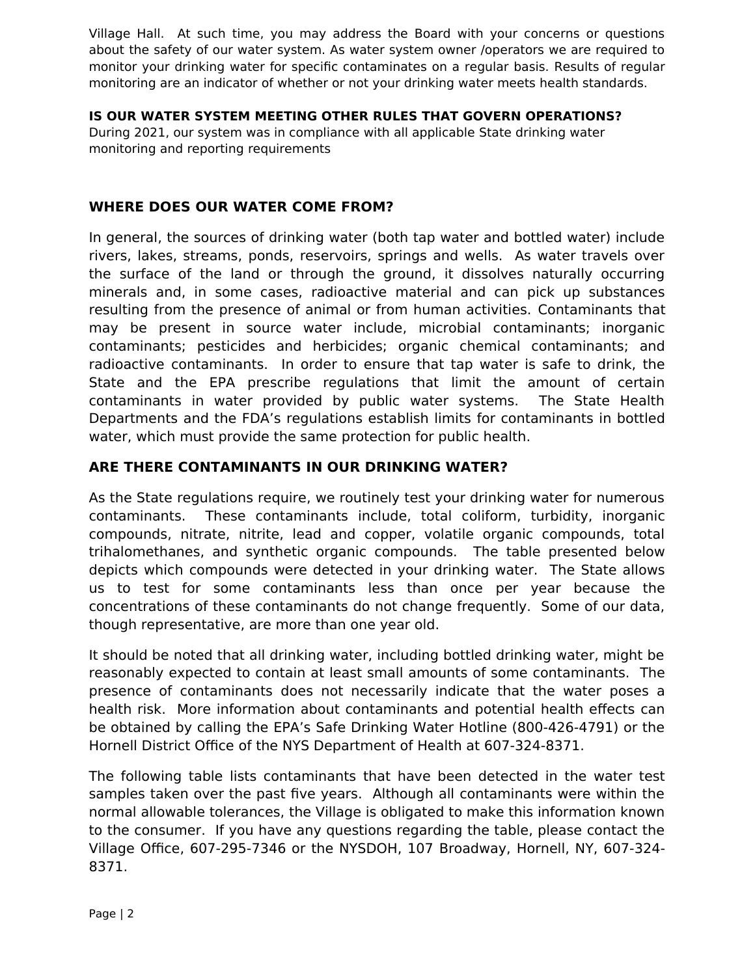Village Hall. At such time, you may address the Board with your concerns or questions about the safety of our water system. As water system owner /operators we are required to monitor your drinking water for specific contaminates on a regular basis. Results of regular monitoring are an indicator of whether or not your drinking water meets health standards.

### **IS OUR WATER SYSTEM MEETING OTHER RULES THAT GOVERN OPERATIONS?**

During 2021, our system was in compliance with all applicable State drinking water monitoring and reporting requirements

## **WHERE DOES OUR WATER COME FROM?**

In general, the sources of drinking water (both tap water and bottled water) include rivers, lakes, streams, ponds, reservoirs, springs and wells. As water travels over the surface of the land or through the ground, it dissolves naturally occurring minerals and, in some cases, radioactive material and can pick up substances resulting from the presence of animal or from human activities. Contaminants that may be present in source water include, microbial contaminants; inorganic contaminants; pesticides and herbicides; organic chemical contaminants; and radioactive contaminants. In order to ensure that tap water is safe to drink, the State and the EPA prescribe regulations that limit the amount of certain contaminants in water provided by public water systems. The State Health Departments and the FDA's regulations establish limits for contaminants in bottled water, which must provide the same protection for public health.

## **ARE THERE CONTAMINANTS IN OUR DRINKING WATER?**

As the State regulations require, we routinely test your drinking water for numerous contaminants. These contaminants include, total coliform, turbidity, inorganic compounds, nitrate, nitrite, lead and copper, volatile organic compounds, total trihalomethanes, and synthetic organic compounds. The table presented below depicts which compounds were detected in your drinking water. The State allows us to test for some contaminants less than once per year because the concentrations of these contaminants do not change frequently. Some of our data, though representative, are more than one year old.

It should be noted that all drinking water, including bottled drinking water, might be reasonably expected to contain at least small amounts of some contaminants. The presence of contaminants does not necessarily indicate that the water poses a health risk. More information about contaminants and potential health effects can be obtained by calling the EPA's Safe Drinking Water Hotline (800-426-4791) or the Hornell District Office of the NYS Department of Health at 607-324-8371.

The following table lists contaminants that have been detected in the water test samples taken over the past five years. Although all contaminants were within the normal allowable tolerances, the Village is obligated to make this information known to the consumer. If you have any questions regarding the table, please contact the Village Office, 607-295-7346 or the NYSDOH, 107 Broadway, Hornell, NY, 607-324- 8371.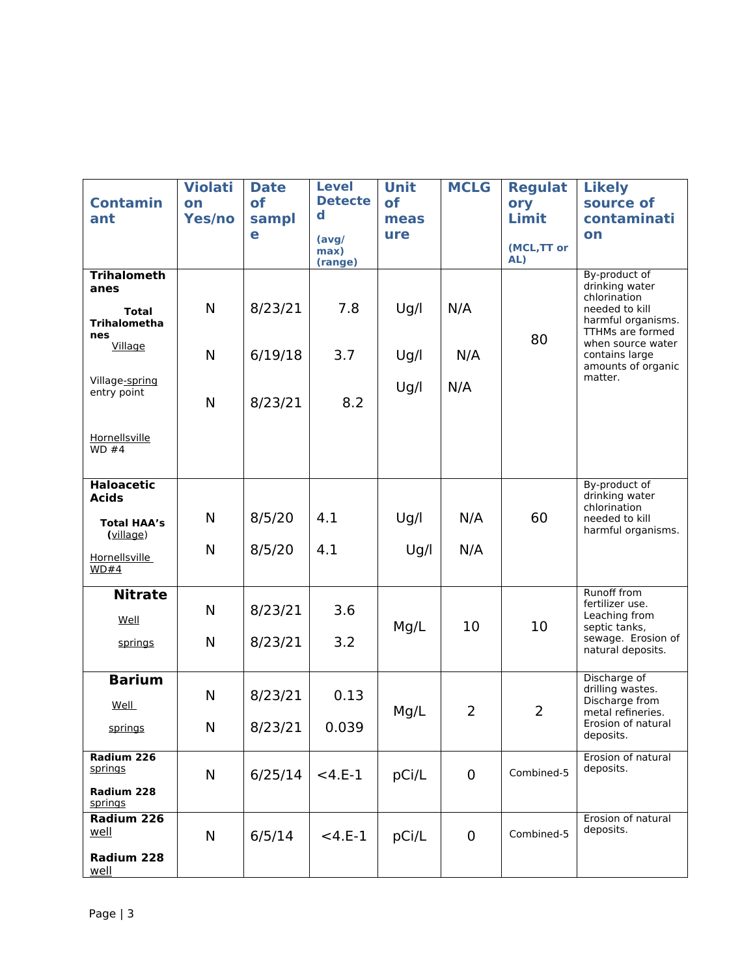|                            | <b>Violati</b> | <b>Date</b> | <b>Level</b>    | <b>Unit</b> | <b>MCLG</b> | <b>Regulat</b>     | <b>Likely</b>                           |
|----------------------------|----------------|-------------|-----------------|-------------|-------------|--------------------|-----------------------------------------|
| <b>Contamin</b>            | on             | <b>of</b>   | <b>Detecte</b>  | <b>of</b>   |             | ory                | source of                               |
| ant                        | Yes/no         | sampl       | $\mathbf d$     | meas        |             | Limit              | contaminati                             |
|                            |                | e           | (avg/           | ure         |             |                    | on                                      |
|                            |                |             | max)<br>(range) |             |             | (MCL, TT or<br>AL) |                                         |
| <b>Trihalometh</b>         |                |             |                 |             |             |                    | By-product of<br>drinking water         |
| anes                       |                |             |                 |             |             |                    | chlorination                            |
| <b>Total</b>               | N              | 8/23/21     | 7.8             | Ug/l        | N/A         |                    | needed to kill                          |
| <b>Trihalometha</b><br>nes |                |             |                 |             |             |                    | harmful organisms.<br>TTHMs are formed  |
| Village                    |                |             |                 |             |             | 80                 | when source water                       |
|                            | N              | 6/19/18     | 3.7             | Ug/l        | N/A         |                    | contains large<br>amounts of organic    |
| Village-spring             |                |             |                 |             |             |                    | matter.                                 |
| entry point                |                |             |                 | Ug/l        | N/A         |                    |                                         |
|                            | N              | 8/23/21     | 8.2             |             |             |                    |                                         |
|                            |                |             |                 |             |             |                    |                                         |
| Hornellsville              |                |             |                 |             |             |                    |                                         |
| WD#4                       |                |             |                 |             |             |                    |                                         |
|                            |                |             |                 |             |             |                    |                                         |
| <b>Haloacetic</b>          |                |             |                 |             |             |                    | By-product of<br>drinking water         |
| <b>Acids</b>               |                |             |                 |             |             |                    | chlorination                            |
| <b>Total HAA's</b>         | N              | 8/5/20      | 4.1             | Ug/l        | N/A         | 60                 | needed to kill                          |
| (village)                  |                |             |                 |             |             |                    | harmful organisms.                      |
| Hornellsville              | N              | 8/5/20      | 4.1             | Ug/l        | N/A         |                    |                                         |
| WD#4                       |                |             |                 |             |             |                    |                                         |
| <b>Nitrate</b>             |                |             |                 |             |             |                    | <b>Runoff from</b>                      |
|                            | N              | 8/23/21     | 3.6             |             |             |                    | fertilizer use.                         |
| Well                       |                |             |                 | Mg/L        | 10          | 10                 | Leaching from<br>septic tanks,          |
| springs                    | N              | 8/23/21     | 3.2             |             |             |                    | sewage. Erosion of                      |
|                            |                |             |                 |             |             |                    | natural deposits.                       |
|                            |                |             |                 |             |             |                    | Discharge of                            |
| <b>Barium</b>              | N              |             |                 |             |             |                    | drilling wastes.                        |
| Well                       |                | 8/23/21     | 0.13            |             | 2           | $\overline{2}$     | Discharge from                          |
|                            | N              |             | 0.039           | Mg/L        |             |                    | metal refineries.<br>Erosion of natural |
| springs                    |                | 8/23/21     |                 |             |             |                    | deposits.                               |
| Radium 226                 |                |             |                 |             |             |                    | Erosion of natural                      |
| springs                    | N              | 6/25/14     | $< 4.E-1$       | pCi/L       | $\mathbf 0$ | Combined-5         | deposits.                               |
| Radium 228                 |                |             |                 |             |             |                    |                                         |
| springs                    |                |             |                 |             |             |                    |                                         |
| Radium 226                 |                |             |                 |             |             |                    | Erosion of natural                      |
| well                       | $\mathsf{N}$   | 6/5/14      | $<$ 4.E-1       | pCi/L       | $\mathbf 0$ | Combined-5         | deposits.                               |
| Radium 228                 |                |             |                 |             |             |                    |                                         |
| well                       |                |             |                 |             |             |                    |                                         |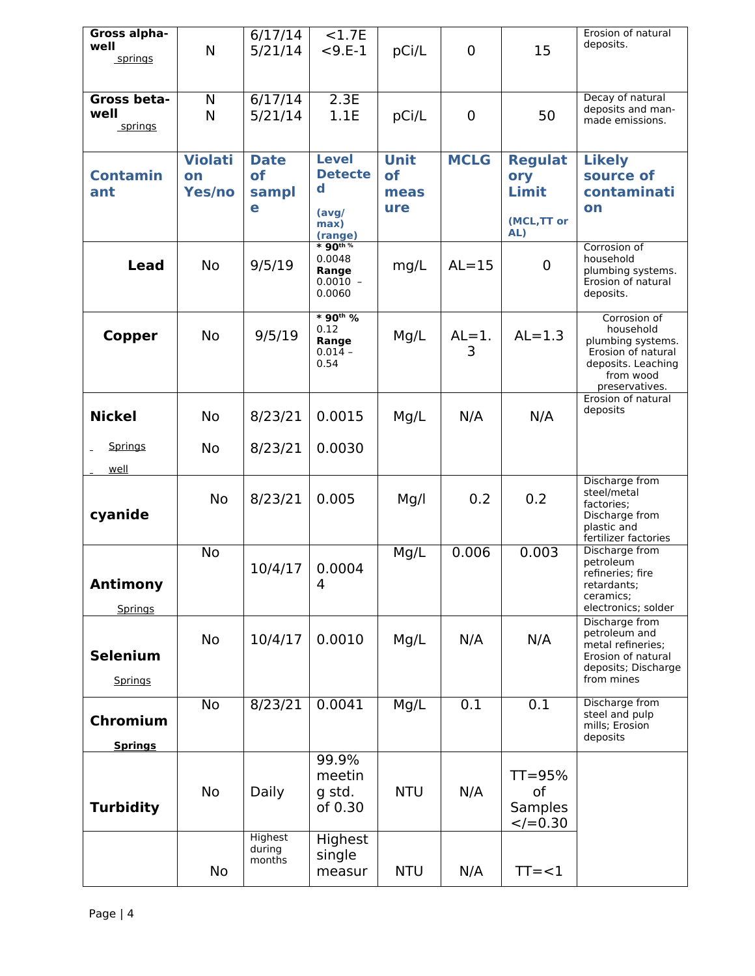| Gross alpha-<br>well<br>springs   | N                              | 6/17/14<br>5/21/14                     | < 1.7E<br>$< 9.E-1$                                                       | pCi/L                            | $\overline{0}$ | 15                                                   | Erosion of natural<br>deposits.                                                                                           |
|-----------------------------------|--------------------------------|----------------------------------------|---------------------------------------------------------------------------|----------------------------------|----------------|------------------------------------------------------|---------------------------------------------------------------------------------------------------------------------------|
| Gross beta-<br>well<br>springs    | N<br>N                         | 6/17/14<br>5/21/14                     | 2.3E<br>1.1E                                                              | pCi/L                            | $\mathbf 0$    | 50                                                   | Decay of natural<br>deposits and man-<br>made emissions.                                                                  |
| <b>Contamin</b><br>ant            | <b>Violati</b><br>on<br>Yes/no | <b>Date</b><br><b>of</b><br>sampl<br>e | <b>Level</b><br><b>Detecte</b><br>$\mathbf d$<br>(avg/<br>max)<br>(range) | <b>Unit</b><br>of<br>meas<br>ure | <b>MCLG</b>    | <b>Regulat</b><br>ory<br>Limit<br>(MCL, TT or<br>AL) | <b>Likely</b><br>source of<br>contaminati<br>on                                                                           |
| <b>Lead</b>                       | <b>No</b>                      | 9/5/19                                 | $*$ 90 <sup>th %</sup><br>0.0048<br>Range<br>$0.0010 -$<br>0.0060         | mg/L                             | $AL = 15$      | 0                                                    | Corrosion of<br>household<br>plumbing systems.<br>Erosion of natural<br>deposits.                                         |
| <b>Copper</b>                     | No                             | 9/5/19                                 | * 90th %<br>0.12<br>Range<br>$0.014 -$<br>0.54                            | Mg/L                             | $AL=1$ .<br>3  | $AL=1.3$                                             | Corrosion of<br>household<br>plumbing systems.<br>Erosion of natural<br>deposits. Leaching<br>from wood<br>preservatives. |
| <b>Nickel</b><br>Springs          | No<br>No                       | 8/23/21<br>8/23/21                     | 0.0015<br>0.0030                                                          | Mg/L                             | N/A            | N/A                                                  | Erosion of natural<br>deposits                                                                                            |
| well<br>cyanide                   | No                             | 8/23/21                                | 0.005                                                                     | Mg/l                             | 0.2            | 0.2                                                  | Discharge from<br>steel/metal<br>factories:<br>Discharge from<br>plastic and<br>fertilizer factories                      |
| <b>Antimony</b><br><b>Springs</b> | <b>No</b>                      | 10/4/17                                | 0.0004<br>4                                                               | Mg/L                             | 0.006          | 0.003                                                | Discharge from<br>petroleum<br>refineries; fire<br>retardants;<br>ceramics:<br>electronics; solder                        |
| <b>Selenium</b><br>Springs        | <b>No</b>                      | 10/4/17                                | 0.0010                                                                    | Mg/L                             | N/A            | N/A                                                  | Discharge from<br>petroleum and<br>metal refineries;<br>Erosion of natural<br>deposits; Discharge<br>from mines           |
| Chromium<br><b>Springs</b>        | No                             | 8/23/21                                | 0.0041                                                                    | Mg/L                             | 0.1            | 0.1                                                  | Discharge from<br>steel and pulp<br>mills; Erosion<br>deposits                                                            |
| <b>Turbidity</b>                  | No                             | Daily                                  | 99.9%<br>meetin<br>g std.<br>of 0.30                                      | <b>NTU</b>                       | N/A            | $TT = 95%$<br>οf<br><b>Samples</b><br>$<$ /=0.30     |                                                                                                                           |
|                                   | No                             | Highest<br>during<br>months            | Highest<br>single<br>measur                                               | <b>NTU</b>                       | N/A            | $TT = < 1$                                           |                                                                                                                           |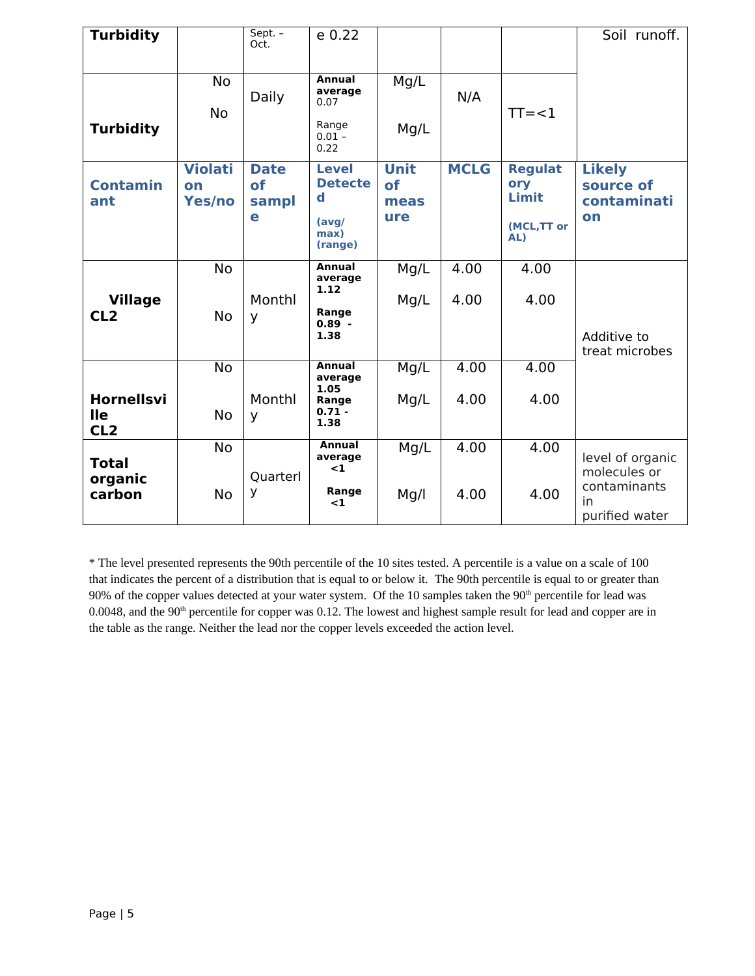| <b>Turbidity</b>                                   |                                | Sept. -<br>Oct.                 | e 0.22                                                                    |                                         |              |                                                      | Soil runoff.                                                             |
|----------------------------------------------------|--------------------------------|---------------------------------|---------------------------------------------------------------------------|-----------------------------------------|--------------|------------------------------------------------------|--------------------------------------------------------------------------|
| <b>Turbidity</b>                                   | <b>No</b><br>No                | <b>Daily</b>                    | <b>Annual</b><br>average<br>0.07<br>Range<br>$0.01 -$<br>0.22             | Mg/L<br>Mg/L                            | N/A          | $TT = < 1$                                           |                                                                          |
| <b>Contamin</b><br>ant                             | <b>Violati</b><br>on<br>Yes/no | <b>Date</b><br>of<br>sampl<br>e | <b>Level</b><br><b>Detecte</b><br>$\mathbf d$<br>(avg/<br>max)<br>(range) | <b>Unit</b><br><b>of</b><br>meas<br>ure | <b>MCLG</b>  | <b>Regulat</b><br>ory<br>Limit<br>(MCL, TT or<br>AL) | <b>Likely</b><br>source of<br>contaminati<br>on                          |
| <b>Village</b><br>CL <sub>2</sub>                  | <b>No</b><br>No                | Monthl<br>y                     | Annual<br>average<br>1.12<br>Range<br>$0.89 -$<br>1.38                    | Mg/L<br>Mg/L                            | 4.00<br>4.00 | 4.00<br>4.00                                         | Additive to<br>treat microbes                                            |
| <b>Hornellsvi</b><br><b>Ile</b><br>CL <sub>2</sub> | <b>No</b><br>No                | Monthl<br>У                     | <b>Annual</b><br>average<br>1.05<br>Range<br>$0.71 -$<br>1.38             | Mg/L<br>Mg/L                            | 4.00<br>4.00 | 4.00<br>4.00                                         |                                                                          |
| <b>Total</b><br>organic<br>carbon                  | <b>No</b><br>No                | Quarterl<br>У                   | Annual<br>average<br>$\leq$ 1<br>Range<br>$\leq$ 1                        | Mg/L<br>Mg/l                            | 4.00<br>4.00 | 4.00<br>4.00                                         | level of organic<br>molecules or<br>contaminants<br>in<br>purified water |

\* The level presented represents the 90th percentile of the 10 sites tested. A percentile is a value on a scale of 100 that indicates the percent of a distribution that is equal to or below it. The 90th percentile is equal to or greater than  $90\%$  of the copper values detected at your water system. Of the 10 samples taken the  $90<sup>th</sup>$  percentile for lead was 0.0048, and the  $90<sup>th</sup>$  percentile for copper was 0.12. The lowest and highest sample result for lead and copper are in the table as the range. Neither the lead nor the copper levels exceeded the action level.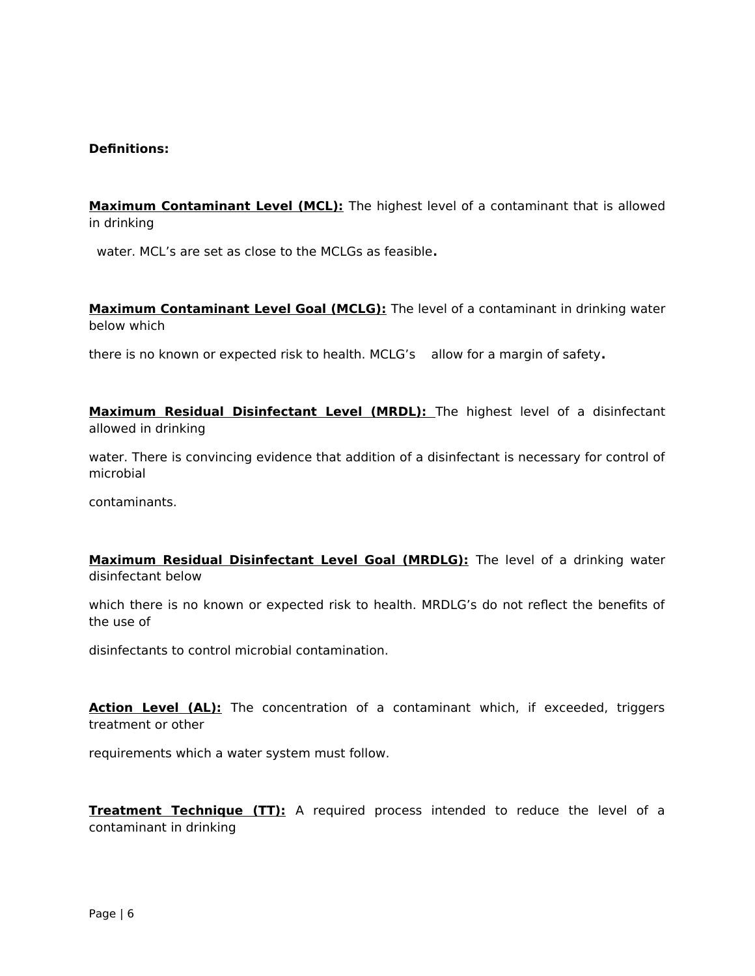#### **Definitions:**

**Maximum Contaminant Level (MCL):** The highest level of a contaminant that is allowed in drinking

water. MCL's are set as close to the MCLGs as feasible**.** 

**Maximum Contaminant Level Goal (MCLG):** The level of a contaminant in drinking water below which

there is no known or expected risk to health. MCLG's allow for a margin of safety**.**

**Maximum Residual Disinfectant Level (MRDL):** The highest level of a disinfectant allowed in drinking

water. There is convincing evidence that addition of a disinfectant is necessary for control of microbial

contaminants.

**Maximum Residual Disinfectant Level Goal (MRDLG):** The level of a drinking water disinfectant below

which there is no known or expected risk to health. MRDLG's do not reflect the benefits of the use of

disinfectants to control microbial contamination.

**Action Level (AL):** The concentration of a contaminant which, if exceeded, triggers treatment or other

requirements which a water system must follow.

**Treatment Technique (TT):** A required process intended to reduce the level of a contaminant in drinking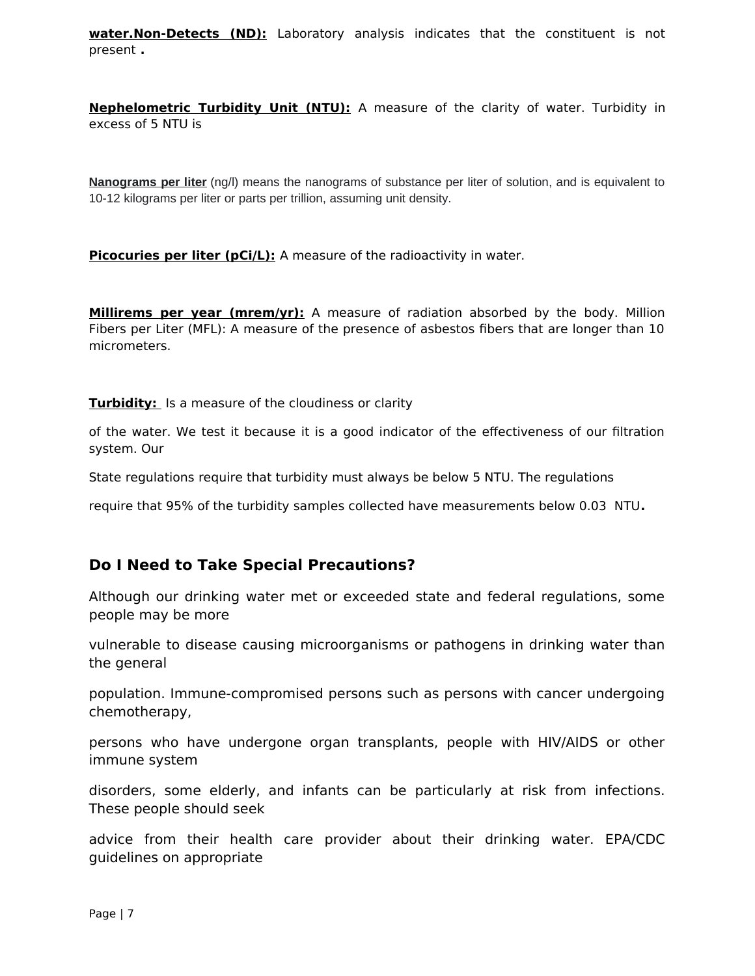**water.Non-Detects (ND):** Laboratory analysis indicates that the constituent is not present **.**

**Nephelometric Turbidity Unit (NTU):** A measure of the clarity of water. Turbidity in excess of 5 NTU is

**Nanograms per liter** (ng/l) means the nanograms of substance per liter of solution, and is equivalent to 10-12 kilograms per liter or parts per trillion, assuming unit density.

**Picocuries per liter (pCi/L):** A measure of the radioactivity in water.

**Millirems per year (mrem/yr):** A measure of radiation absorbed by the body. Million Fibers per Liter (MFL): A measure of the presence of asbestos fibers that are longer than 10 micrometers.

**Turbidity:** Is a measure of the cloudiness or clarity

of the water. We test it because it is a good indicator of the effectiveness of our filtration system. Our

State regulations require that turbidity must always be below 5 NTU. The regulations

require that 95% of the turbidity samples collected have measurements below 0.03 NTU**.**

## **Do I Need to Take Special Precautions?**

Although our drinking water met or exceeded state and federal regulations, some people may be more

vulnerable to disease causing microorganisms or pathogens in drinking water than the general

population. Immune-compromised persons such as persons with cancer undergoing chemotherapy,

persons who have undergone organ transplants, people with HIV/AIDS or other immune system

disorders, some elderly, and infants can be particularly at risk from infections. These people should seek

advice from their health care provider about their drinking water. EPA/CDC guidelines on appropriate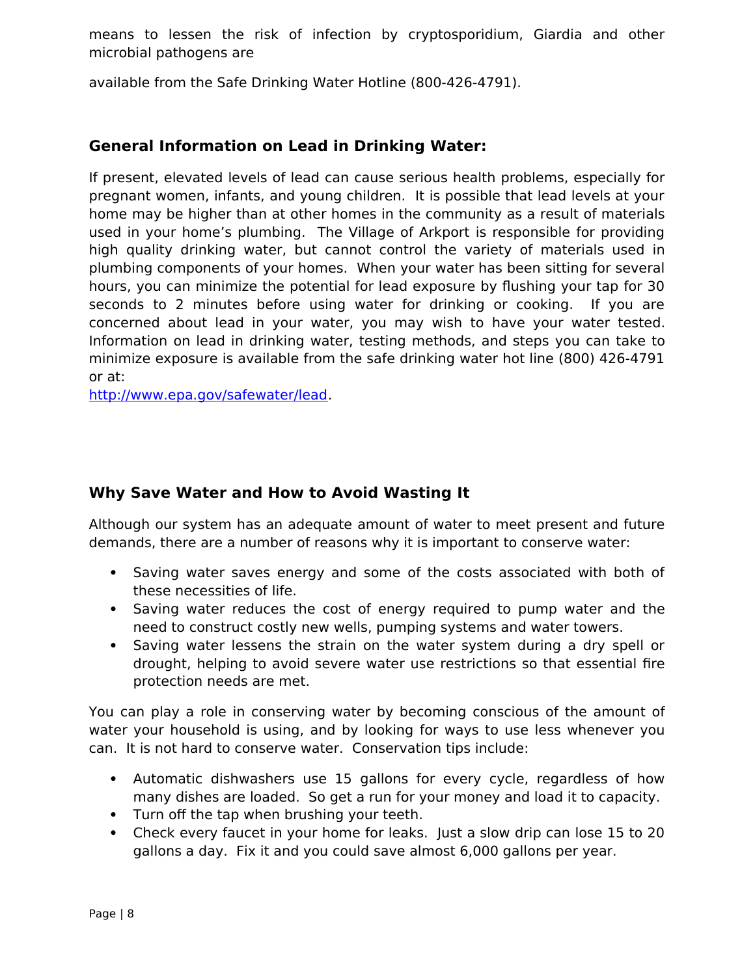means to lessen the risk of infection by cryptosporidium, Giardia and other microbial pathogens are

available from the Safe Drinking Water Hotline (800-426-4791).

# **General Information on Lead in Drinking Water:**

If present, elevated levels of lead can cause serious health problems, especially for pregnant women, infants, and young children. It is possible that lead levels at your home may be higher than at other homes in the community as a result of materials used in your home's plumbing. The Village of Arkport is responsible for providing high quality drinking water, but cannot control the variety of materials used in plumbing components of your homes. When your water has been sitting for several hours, you can minimize the potential for lead exposure by flushing your tap for 30 seconds to 2 minutes before using water for drinking or cooking. If you are concerned about lead in your water, you may wish to have your water tested. Information on lead in drinking water, testing methods, and steps you can take to minimize exposure is available from the safe drinking water hot line (800) 426-4791 or at:

<http://www.epa.gov/safewater/lead>.

# **Why Save Water and How to Avoid Wasting It**

Although our system has an adequate amount of water to meet present and future demands, there are a number of reasons why it is important to conserve water:

- Saving water saves energy and some of the costs associated with both of these necessities of life.
- Saving water reduces the cost of energy required to pump water and the need to construct costly new wells, pumping systems and water towers.
- Saving water lessens the strain on the water system during a dry spell or drought, helping to avoid severe water use restrictions so that essential fire protection needs are met.

You can play a role in conserving water by becoming conscious of the amount of water your household is using, and by looking for ways to use less whenever you can. It is not hard to conserve water. Conservation tips include:

- Automatic dishwashers use 15 gallons for every cycle, regardless of how many dishes are loaded. So get a run for your money and load it to capacity.
- Turn off the tap when brushing your teeth.
- Check every faucet in your home for leaks. Just a slow drip can lose 15 to 20 gallons a day. Fix it and you could save almost 6,000 gallons per year.